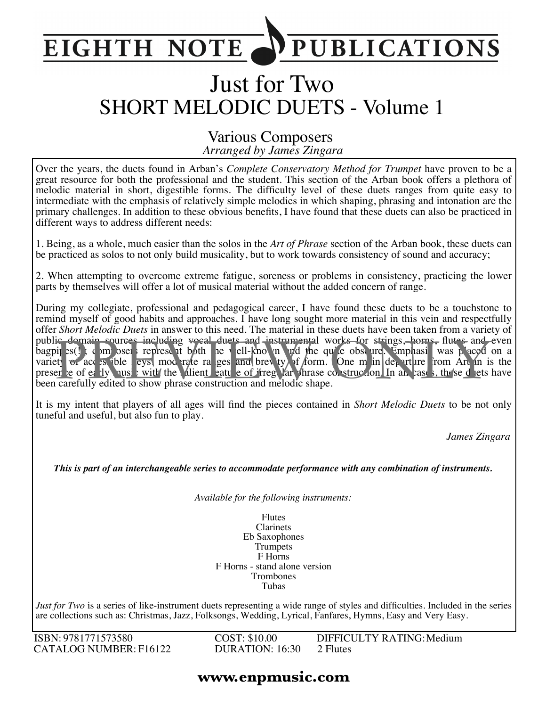#### **PUBLICATIONS EIGHTH NOTE**

# Just for Two SHORT MELODIC DUETS - Volume 1

#### *Arranged by James Zingara* Various Composers

Over the years, the duets found in Arban's *Complete Conservatory Method for Trumpet* have proven to be a great resource for both the professional and the student. This section of the Arban book offers a plethora of melodic material in short, digestible forms. The difficulty level of these duets ranges from quite easy to intermediate with the emphasis of relatively simple melodies in which shaping, phrasing and intonation are the primary challenges. In addition to these obvious benefits, I have found that these duets can also be practiced in different ways to address different needs:

1. Being, as a whole, much easier than the solos in the *Art of Phrase* section of the Arban book, these duets can be practiced as solos to not only build musicality, but to work towards consistency of sound and accuracy;

2. When attempting to overcome extreme fatigue, soreness or problems in consistency, practicing the lower parts by themselves will offer a lot of musical material without the added concern of range.

During my collegiate, professional and pedagogical career, I have found these duets to be a touchstone to remind myself of good habits and approaches. I have long sought more material in this vein and respectfully offer *Short Melodic Duets* in answer to this need. The material in these duets have been taken from a variety of public domain sources including vocal duets and instrumental works for strings, horns, flutes and even bagpit s(!); composers represent both the well-known and the quite obscure. Emphasis was placed on a variety of access ible leys, moderate ranges and brevity of form. One main departure from Arban is the presence of early music with the salient eature of irregular phrase construction. In all cases, these duets have been carefully edited to show phrase construction and melodic shape. ic domain sources including woral duets and instrumental works for strings, horns, flutes and<br>pi es() composed represent both the vell-kno in and the qu'e obse ure. Emplassi was paced<br>et of acc es ible eys, mod rate ra ges

It is my intent that players of all ages will find the pieces contained in *Short Melodic Duets* to be not only tuneful and useful, but also fun to play.

*James Zingara*

*This is part of an interchangeable series to accommodate performance with any combination of instruments.*

*Available for the following instruments:*

Flutes Clarinets Eb Saxophones Trumpets F Horns F Horns - stand alone version Trombones Tubas

*Just for Two* is a series of like-instrument duets representing a wide range of styles and difficulties. Included in the series are collections such as: Christmas, Jazz, Folksongs, Wedding, Lyrical, Fanfares, Hymns, Easy and Very Easy.

ISBN: 9781771573580 CATALOG NUMBER: F16122 COST: \$10.00 DURATION: 16:30 DIFFICULTY RATING:Medium 2 Flutes

#### **www.enpmusic.com**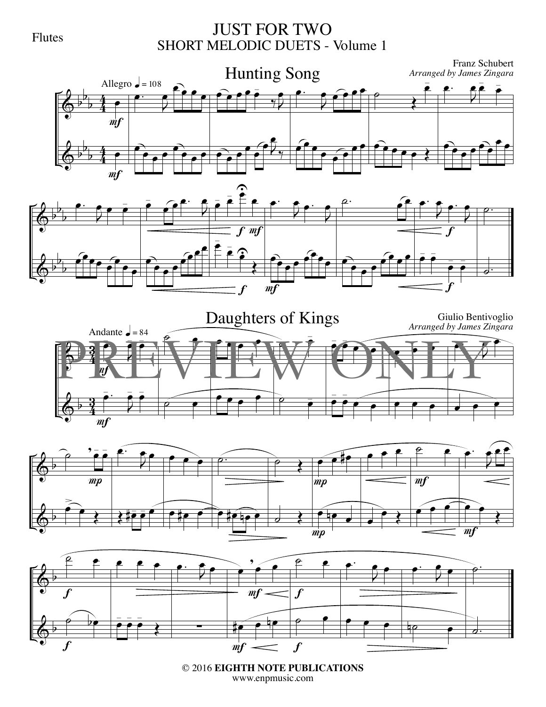#### Flutes

#### JUST FOR TWO SHORT MELODIC DUETS - Volume 1











© 2016 **EIGHTH NOTE PUBLICATIONS** www.enpmusic.com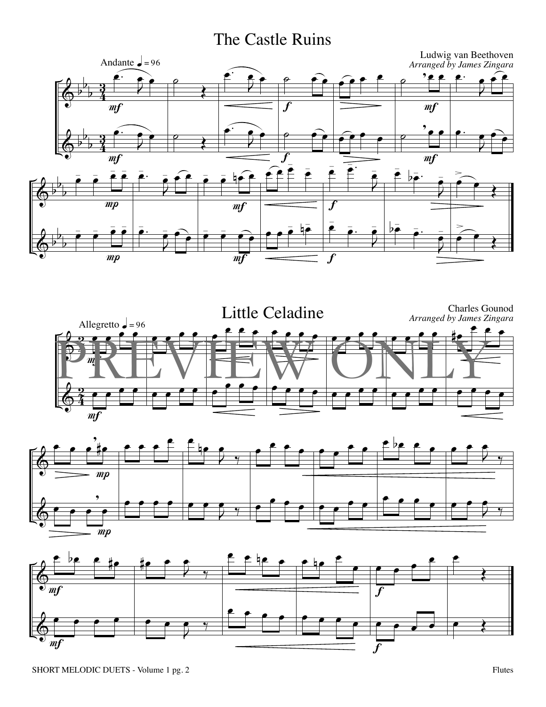## The Castle Ruins







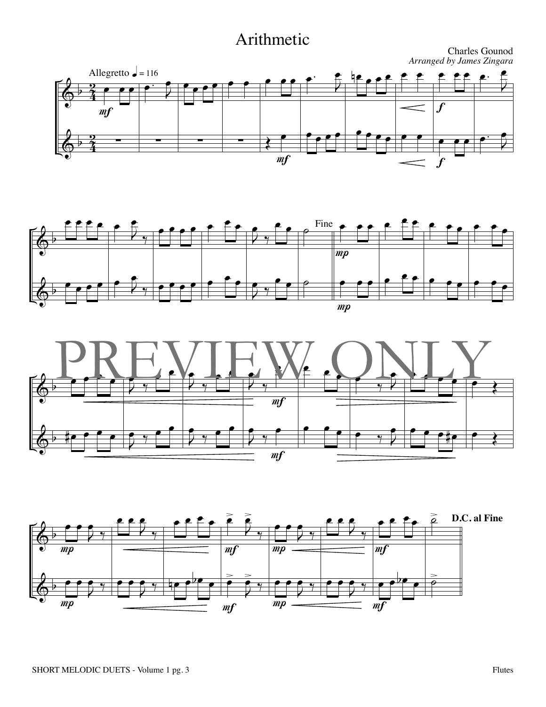## Arithmetic







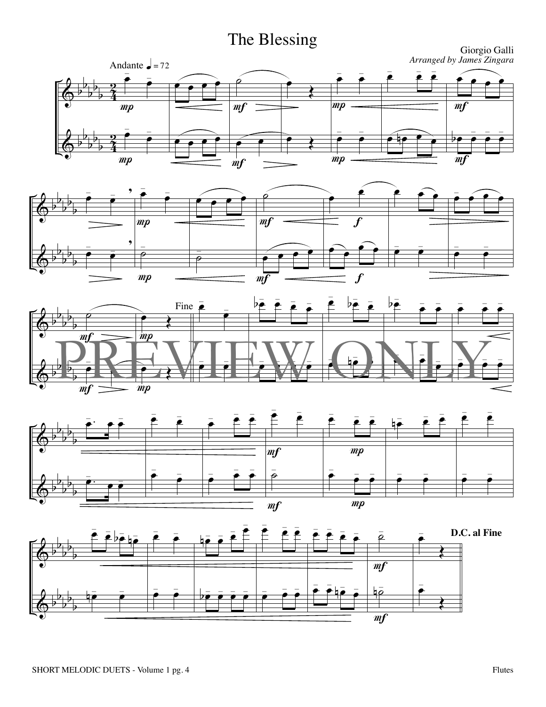# The Blessing









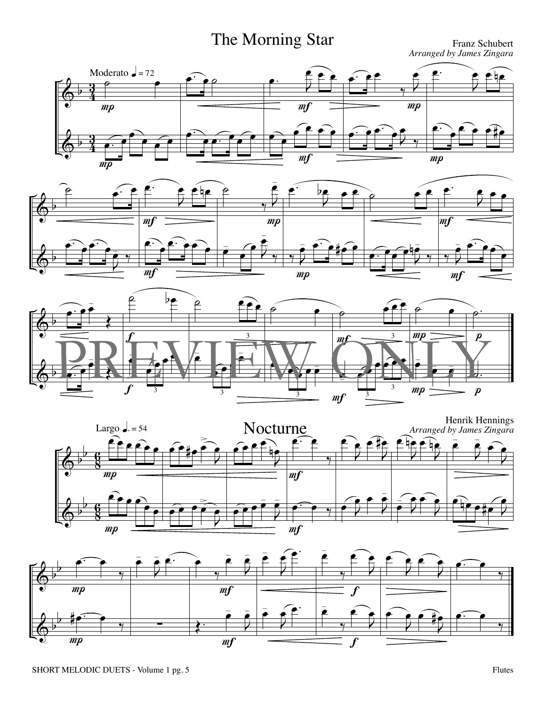## The Morning Star

*Arranged by James Zingara*









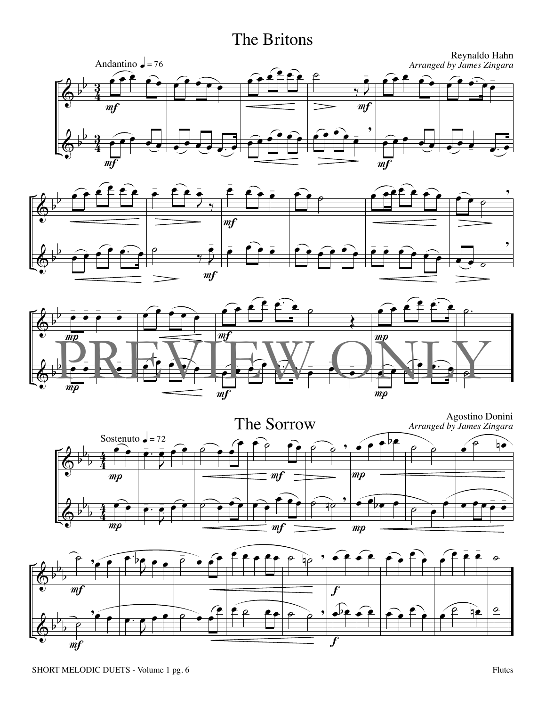### The Britons









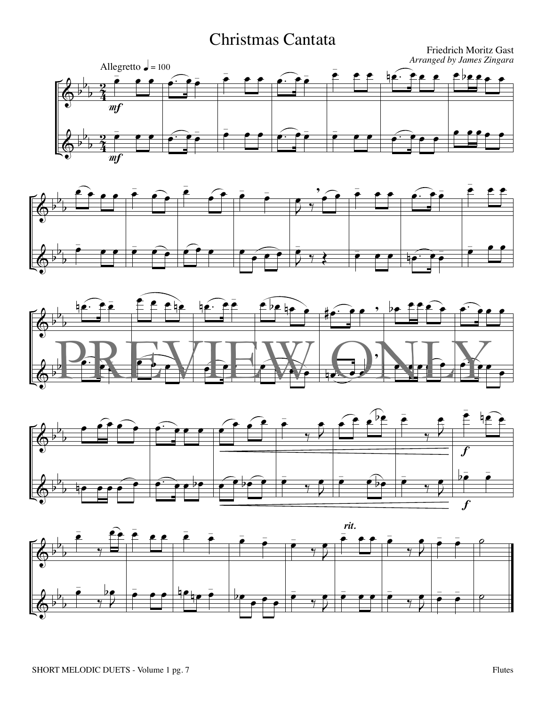## Christmas Cantata









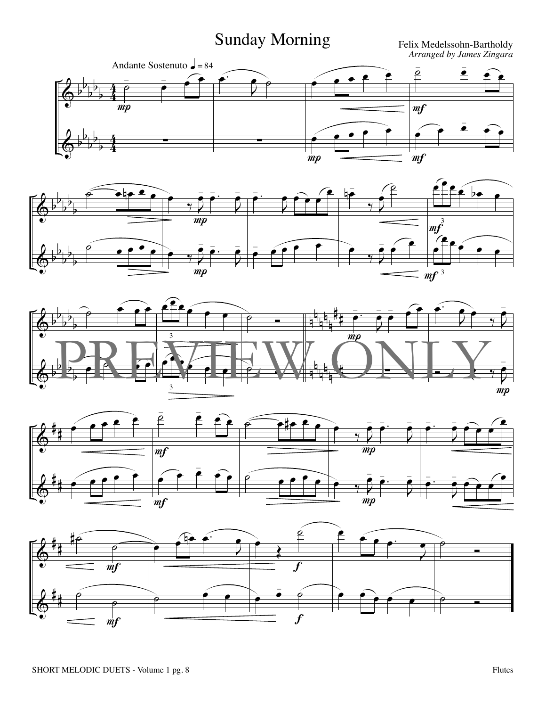# Sunday Morning

*Arranged by James Zingara*









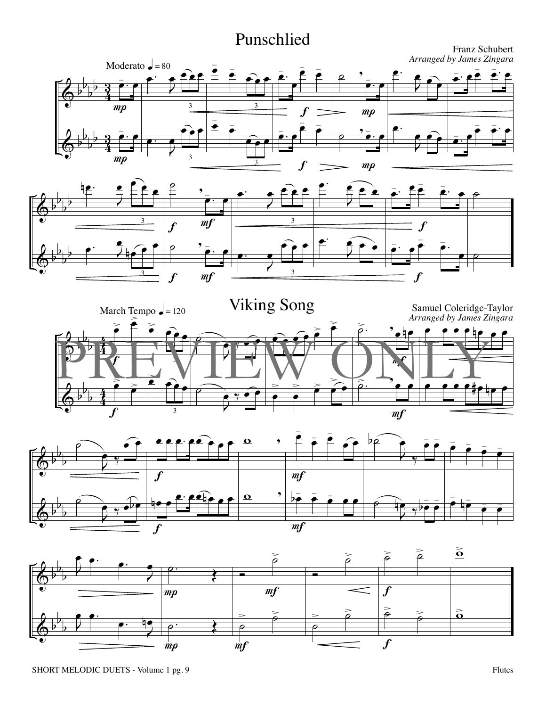### Punschlied

Franz Schubert









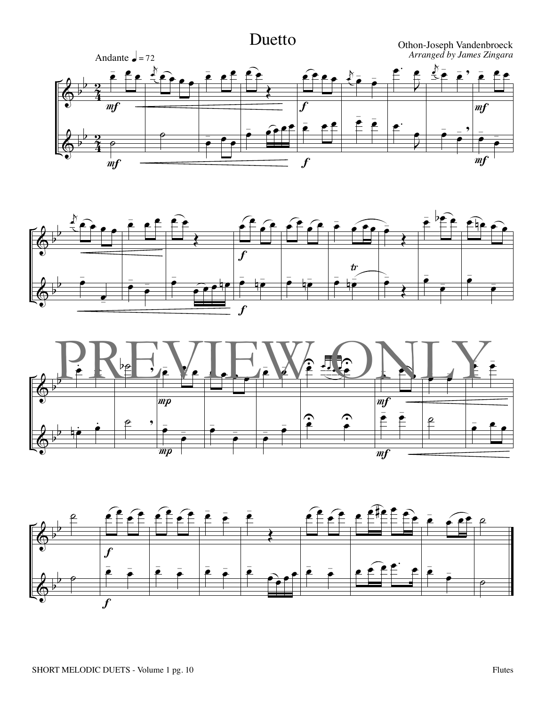#### $\bm{\phi}$  $\pmb{\phi}$ b  $\frac{1}{2}$ b b  $\rm \vec{4}$ <u>ร</u>ุ  $\rm \AA$ <u>ว</u>ุ œ  $\frac{1}{2}$  $\overline{e}$ Andante  $\bullet$  = 72  $\overline{mf}$  $\eta$  $\frac{1}{2}$  $\mathbb{P}_{\mathbf{e}_\mathbf{e}_\mathbf{e}}$  $\epsilon$ œ  $\frac{1}{2}$  ef œ  $\overline{\cdot}$   $\overline{\cdot}$  $\widehat{\mathbf{e}}$ Œ œ  $=$   $\hat{e}$ مع<br>ص œ  $\frac{1}{2}$  e e e e  $\overline{f}$  $\overline{f}$ k  $\sum_{i=1}^{N}$  $\frac{1}{\cdot}$  œ - œ œ.  $\overline{2}$ œ œ.  $\overline{2}$ œ  $\mathsf{k}$  $\tilde{\mathbb{Z}}$   $\overline{\mathbb{Z}}$  $\frac{1}{2}$ .<br>• , œ  $\frac{1}{\sqrt{2}}$  $\frac{1}{2}$ œ - œ œ œ  $\frac{1}{\cdot}$ -  $\overline{mf}$  $m f$ Duetto Othon-Joseph Vandenbroeck *Arranged by James Zingara*





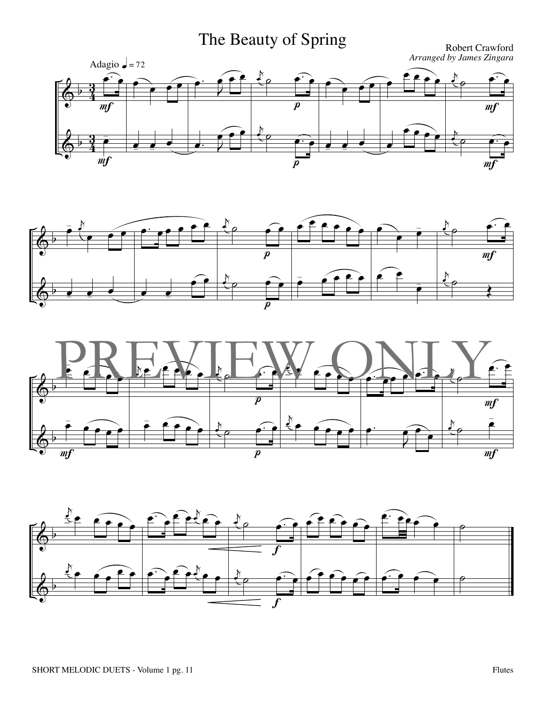# The Beauty of Spring

*Arranged by James Zingara*







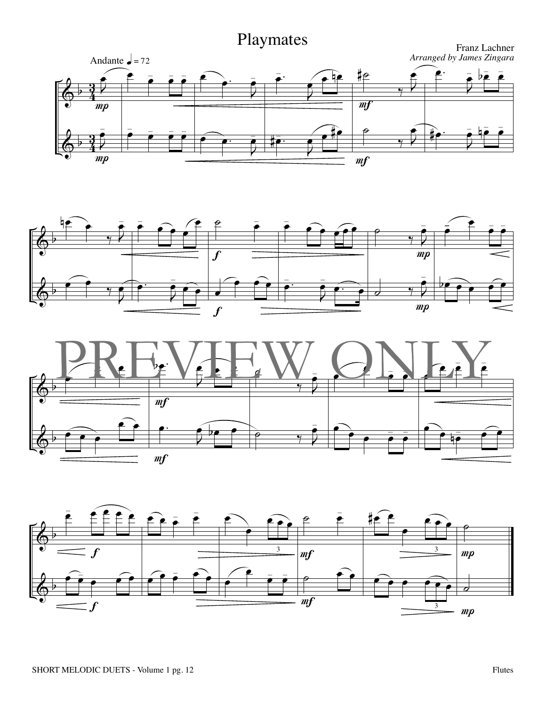





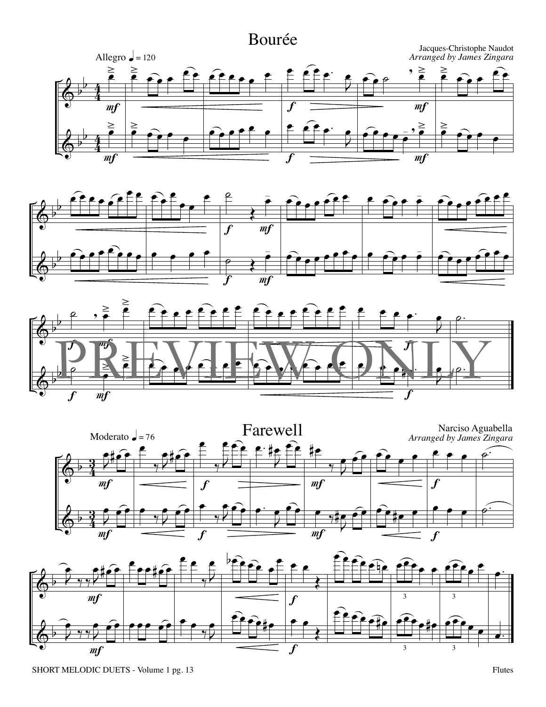







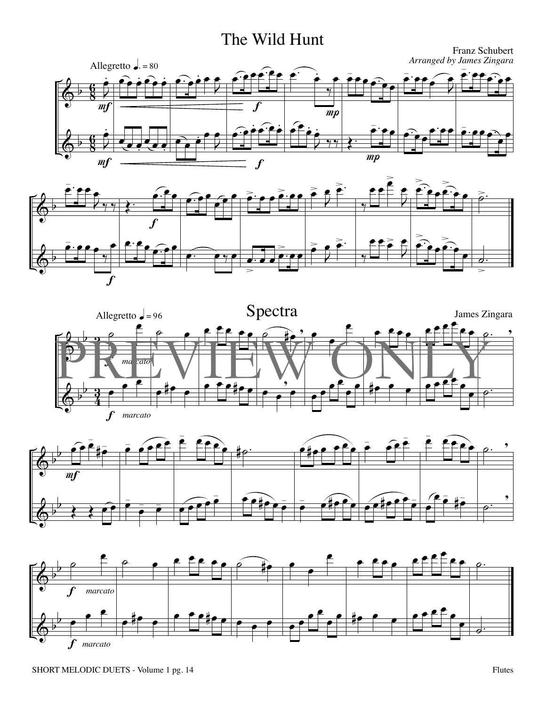#### The Wild Hunt